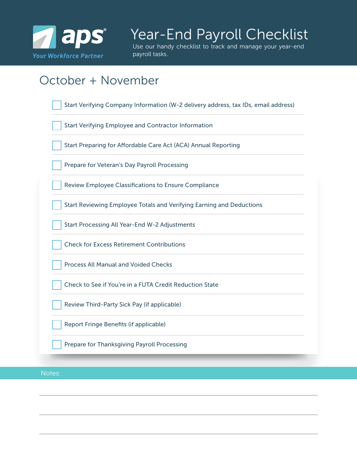

## Year-End Payroll Checklist

Use our handy checklist to track and manage your year-end payroll tasks.

## October + November

| Start Verifying Company Information (W-2 delivery address, tax IDs, email address) |
|------------------------------------------------------------------------------------|
| <b>Start Verifying Employee and Contractor Information</b>                         |
| Start Preparing for Affordable Care Act (ACA) Annual Reporting                     |
| Prepare for Veteran's Day Payroll Processing                                       |
| <b>Review Employee Classifications to Ensure Compliance</b>                        |
| Start Reviewing Employee Totals and Verifying Earning and Deductions               |
| <b>Start Processing All Year-End W-2 Adjustments</b>                               |
| <b>Check for Excess Retirement Contributions</b>                                   |
| <b>Process All Manual and Voided Checks</b>                                        |
| Check to See if You're in a FUTA Credit Reduction State                            |
| Review Third-Party Sick Pay (if applicable)                                        |
| <b>Report Fringe Benefits (if applicable)</b>                                      |
| <b>Prepare for Thanksgiving Payroll Processing</b>                                 |
|                                                                                    |

Notes: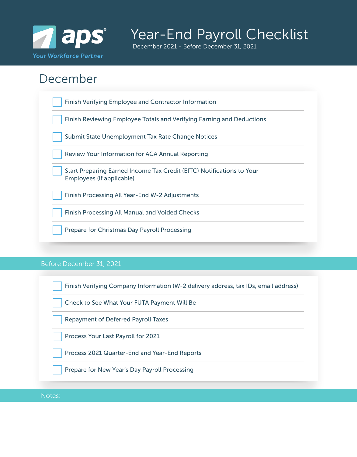

## Year-End Payroll Checklist

December 2021 - Before December 31, 2021

### December

| <b>Finish Verifying Employee and Contractor Information</b>                                        |
|----------------------------------------------------------------------------------------------------|
| Finish Reviewing Employee Totals and Verifying Earning and Deductions                              |
| Submit State Unemployment Tax Rate Change Notices                                                  |
| <b>Review Your Information for ACA Annual Reporting</b>                                            |
| Start Preparing Earned Income Tax Credit (EITC) Notifications to Your<br>Employees (if applicable) |
| Finish Processing All Year-End W-2 Adjustments                                                     |
| <b>Finish Processing All Manual and Voided Checks</b>                                              |
| <b>Prepare for Christmas Day Payroll Processing</b>                                                |

#### Before December 31, 2021

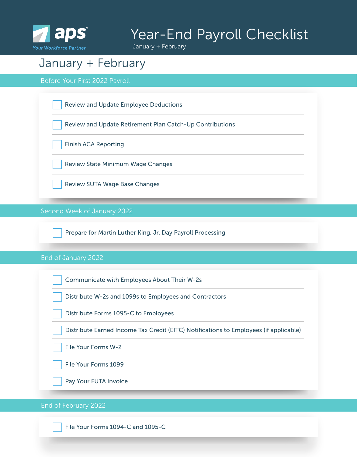

# Year-End Payroll Checklist

January + February

### January + February

Before Your First 2022 Payroll



End of February 2022

File Your Forms 1094-C and 1095-C